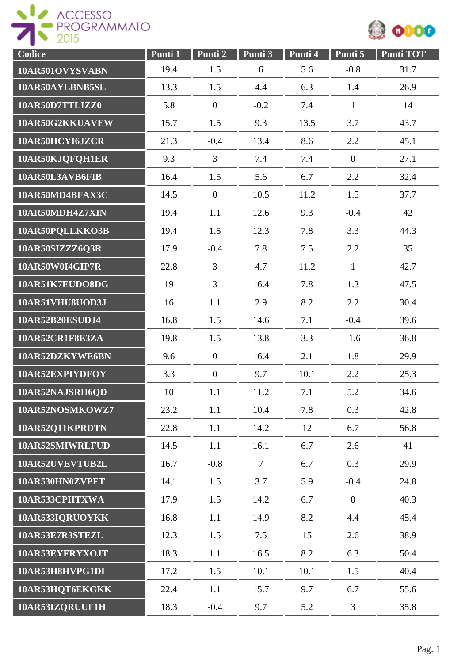



| Codice          | Punti 1 | Punti 2        | Punti 3        | Punti 4 | Punti 5          | <b>Punti TOT</b> |
|-----------------|---------|----------------|----------------|---------|------------------|------------------|
| 10AR501OVYSVABN | 19.4    | 1.5            | 6              | 5.6     | $-0.8$           | 31.7             |
| 10AR50AYLBNB5SL | 13.3    | 1.5            | 4.4            | 6.3     | 1.4              | 26.9             |
| 10AR50D7TTLIZZ0 | 5.8     | $\mathbf{0}$   | $-0.2$         | 7.4     | $\mathbf{1}$     | 14               |
| 10AR50G2KKUAVEW | 15.7    | 1.5            | 9.3            | 13.5    | 3.7              | 43.7             |
| 10AR50HCYI6JZCR | 21.3    | $-0.4$         | 13.4           | 8.6     | 2.2              | 45.1             |
| 10AR50KJQFQH1ER | 9.3     | $\overline{3}$ | 7.4            | 7.4     | $\boldsymbol{0}$ | 27.1             |
| 10AR50L3AVB6FIB | 16.4    | 1.5            | 5.6            | 6.7     | 2.2              | 32.4             |
| 10AR50MD4BFAX3C | 14.5    | $\mathbf{0}$   | 10.5           | 11.2    | 1.5              | 37.7             |
| 10AR50MDH4Z7XIN | 19.4    | 1.1            | 12.6           | 9.3     | $-0.4$           | 42               |
| 10AR50PQLLKKO3B | 19.4    | 1.5            | 12.3           | 7.8     | 3.3              | 44.3             |
| 10AR50SIZZZ6Q3R | 17.9    | $-0.4$         | 7.8            | 7.5     | 2.2              | 35               |
| 10AR50W0I4GIP7R | 22.8    | 3              | 4.7            | 11.2    | $\mathbf{1}$     | 42.7             |
| 10AR51K7EUDO8DG | 19      | $\overline{3}$ | 16.4           | 7.8     | 1.3              | 47.5             |
| 10AR51VHU8UOD3J | 16      | 1.1            | 2.9            | 8.2     | 2.2              | 30.4             |
| 10AR52B20ESUDJ4 | 16.8    | 1.5            | 14.6           | 7.1     | $-0.4$           | 39.6             |
| 10AR52CR1F8E3ZA | 19.8    | 1.5            | 13.8           | 3.3     | $-1.6$           | 36.8             |
| 10AR52DZKYWE6BN | 9.6     | $\mathbf{0}$   | 16.4           | 2.1     | 1.8              | 29.9             |
| 10AR52EXPIYDFOY | 3.3     | $\overline{0}$ | 9.7            | 10.1    | 2.2              | 25.3             |
| 10AR52NAJSRH6OD | 10      | 1.1            | 11.2           | 7.1     | 5.2              | 34.6             |
| 10AR52NOSMKOWZ7 | 23.2    | 1.1            | 10.4           | 7.8     | 0.3              | 42.8             |
| 10AR52Q11KPRDTN | 22.8    | 1.1            | 14.2           | 12      | 6.7              | 56.8             |
| 10AR52SMIWRLFUD | 14.5    | 1.1            | 16.1           | 6.7     | 2.6              | 41               |
| 10AR52UVEVTUB2L | 16.7    | $-0.8$         | $\overline{7}$ | 6.7     | 0.3              | 29.9             |
| 10AR530HN0ZVPFT | 14.1    | 1.5            | 3.7            | 5.9     | $-0.4$           | 24.8             |
| 10AR533CPIITXWA | 17.9    | 1.5            | 14.2           | 6.7     | $\overline{0}$   | 40.3             |
| 10AR533IQRUOYKK | 16.8    | 1.1            | 14.9           | 8.2     | 4.4              | 45.4             |
| 10AR53E7R3STEZL | 12.3    | 1.5            | 7.5            | 15      | 2.6              | 38.9             |
| 10AR53EYFRYXOJT | 18.3    | 1.1            | 16.5           | 8.2     | 6.3              | 50.4             |
| 10AR53H8HVPG1DI | 17.2    | 1.5            | 10.1           | 10.1    | 1.5              | 40.4             |
| 10AR53HQT6EKGKK | 22.4    | 1.1            | 15.7           | 9.7     | 6.7              | 55.6             |
| 10AR53IZQRUUF1H | 18.3    | $-0.4$         | 9.7            | 5.2     | 3                | 35.8             |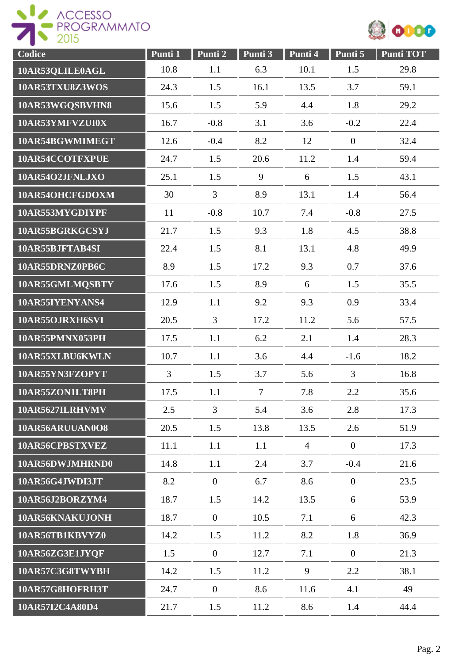



| Codice          | Punti 1        | Punti <sub>2</sub> | Punti 3        | Punti 4        | Punti 5        | <b>Punti TOT</b> |
|-----------------|----------------|--------------------|----------------|----------------|----------------|------------------|
| 10AR53QLILE0AGL | 10.8           | 1.1                | 6.3            | 10.1           | 1.5            | 29.8             |
| 10AR53TXU8Z3WOS | 24.3           | 1.5                | 16.1           | 13.5           | 3.7            | 59.1             |
| 10AR53WGQSBVHN8 | 15.6           | 1.5                | 5.9            | 4.4            | 1.8            | 29.2             |
| 10AR53YMFVZUI0X | 16.7           | $-0.8$             | 3.1            | 3.6            | $-0.2$         | 22.4             |
| 10AR54BGWMIMEGT | 12.6           | $-0.4$             | 8.2            | 12             | $\mathbf{0}$   | 32.4             |
| 10AR54CCOTFXPUE | 24.7           | 1.5                | 20.6           | 11.2           | 1.4            | 59.4             |
| 10AR54O2JFNLJXO | 25.1           | 1.5                | 9              | 6              | 1.5            | 43.1             |
| 10AR54OHCFGDOXM | 30             | $\overline{3}$     | 8.9            | 13.1           | 1.4            | 56.4             |
| 10AR553MYGDIYPF | 11             | $-0.8$             | 10.7           | 7.4            | $-0.8$         | 27.5             |
| 10AR55BGRKGCSYJ | 21.7           | 1.5                | 9.3            | 1.8            | 4.5            | 38.8             |
| 10AR55BJFTAB4SI | 22.4           | 1.5                | 8.1            | 13.1           | 4.8            | 49.9             |
| 10AR55DRNZ0PB6C | 8.9            | 1.5                | 17.2           | 9.3            | 0.7            | 37.6             |
| 10AR55GMLMQSBTY | 17.6           | 1.5                | 8.9            | 6              | 1.5            | 35.5             |
| 10AR55IYENYANS4 | 12.9           | 1.1                | 9.2            | 9.3            | 0.9            | 33.4             |
| 10AR55OJRXH6SVI | 20.5           | $\overline{3}$     | 17.2           | 11.2           | 5.6            | 57.5             |
| 10AR55PMNX053PH | 17.5           | 1.1                | 6.2            | 2.1            | 1.4            | 28.3             |
| 10AR55XLBU6KWLN | 10.7           | 1.1                | 3.6            | 4.4            | $-1.6$         | 18.2             |
| 10AR55YN3FZOPYT | $\overline{3}$ | 1.5                | 3.7            | 5.6            | $\overline{3}$ | 16.8             |
| 10AR55ZON1LT8PH | 17.5           | 1.1                | $\overline{7}$ | 7.8            | 2.2            | 35.6             |
| 10AR5627ILRHVMV | 2.5            | $\overline{3}$     | 5.4            | 3.6            | 2.8            | 17.3             |
| 10AR56ARUUAN0O8 | 20.5           | 1.5                | 13.8           | 13.5           | 2.6            | 51.9             |
| 10AR56CPBSTXVEZ | 11.1           | 1.1                | 1.1            | $\overline{4}$ | $\overline{0}$ | 17.3             |
| 10AR56DWJMHRND0 | 14.8           | 1.1                | 2.4            | 3.7            | $-0.4$         | 21.6             |
| 10AR56G4JWDI3JT | 8.2            | $\overline{0}$     | 6.7            | 8.6            | $\overline{0}$ | 23.5             |
| 10AR56J2BORZYM4 | 18.7           | 1.5                | 14.2           | 13.5           | 6              | 53.9             |
| 10AR56KNAKUJONH | 18.7           | $\overline{0}$     | 10.5           | 7.1            | 6              | 42.3             |
| 10AR56TB1KBVYZ0 | 14.2           | 1.5                | 11.2           | 8.2            | 1.8            | 36.9             |
| 10AR56ZG3E1JYQF | 1.5            | $\overline{0}$     | 12.7           | 7.1            | $\overline{0}$ | 21.3             |
| 10AR57C3G8TWYBH | 14.2           | 1.5                | 11.2           | 9              | 2.2            | 38.1             |
| 10AR57G8HOFRH3T | 24.7           | $\overline{0}$     | 8.6            | 11.6           | 4.1            | 49               |
| 10AR57I2C4A80D4 | 21.7           | 1.5                | 11.2           | 8.6            | 1.4            | 44.4             |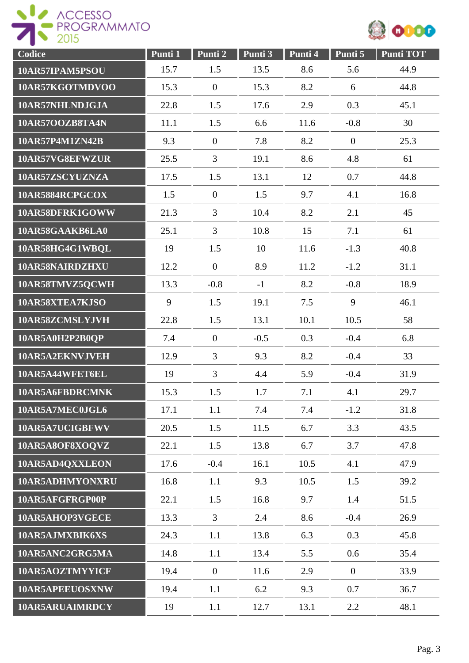



| Codice          | Punti 1 | Punti 2        | Punti 3 | Punti 4 | Punti 5          | <b>Punti TOT</b> |
|-----------------|---------|----------------|---------|---------|------------------|------------------|
| 10AR57IPAM5PSOU | 15.7    | 1.5            | 13.5    | 8.6     | 5.6              | 44.9             |
| 10AR57KGOTMDVOO | 15.3    | $\mathbf{0}$   | 15.3    | 8.2     | 6                | 44.8             |
| 10AR57NHLNDJGJA | 22.8    | 1.5            | 17.6    | 2.9     | 0.3              | 45.1             |
| 10AR57OOZB8TA4N | 11.1    | 1.5            | 6.6     | 11.6    | $-0.8$           | 30               |
| 10AR57P4M1ZN42B | 9.3     | $\mathbf{0}$   | 7.8     | 8.2     | $\boldsymbol{0}$ | 25.3             |
| 10AR57VG8EFWZUR | 25.5    | $\overline{3}$ | 19.1    | 8.6     | 4.8              | 61               |
| 10AR57ZSCYUZNZA | 17.5    | 1.5            | 13.1    | 12      | 0.7              | 44.8             |
| 10AR5884RCPGCOX | 1.5     | $\overline{0}$ | 1.5     | 9.7     | 4.1              | 16.8             |
| 10AR58DFRK1GOWW | 21.3    | $\overline{3}$ | 10.4    | 8.2     | 2.1              | 45               |
| 10AR58GAAKB6LA0 | 25.1    | $\overline{3}$ | 10.8    | 15      | 7.1              | 61               |
| 10AR58HG4G1WBQL | 19      | 1.5            | 10      | 11.6    | $-1.3$           | 40.8             |
| 10AR58NAIRDZHXU | 12.2    | $\overline{0}$ | 8.9     | 11.2    | $-1.2$           | 31.1             |
| 10AR58TMVZ5QCWH | 13.3    | $-0.8$         | $-1$    | 8.2     | $-0.8$           | 18.9             |
| 10AR58XTEA7KJSO | 9       | 1.5            | 19.1    | 7.5     | 9                | 46.1             |
| 10AR58ZCMSLYJVH | 22.8    | 1.5            | 13.1    | 10.1    | 10.5             | 58               |
| 10AR5A0H2P2B0QP | 7.4     | $\mathbf{0}$   | $-0.5$  | 0.3     | $-0.4$           | 6.8              |
| 10AR5A2EKNVJVEH | 12.9    | $\overline{3}$ | 9.3     | 8.2     | $-0.4$           | 33               |
| 10AR5A44WFET6EL | 19      | $\overline{3}$ | 4.4     | 5.9     | $-0.4$           | 31.9             |
| 10AR5A6FBDRCMNK | 15.3    | 1.5            | 1.7     | 7.1     | 4.1              | 29.7             |
| 10AR5A7MEC0JGL6 | 17.1    | 1.1            | 7.4     | 7.4     | $-1.2$           | 31.8             |
| 10AR5A7UCIGBFWV | 20.5    | 1.5            | 11.5    | 6.7     | 3.3              | 43.5             |
| 10AR5A8OF8XOQVZ | 22.1    | 1.5            | 13.8    | 6.7     | 3.7              | 47.8             |
| 10AR5AD4QXXLEON | 17.6    | $-0.4$         | 16.1    | 10.5    | 4.1              | 47.9             |
| 10AR5ADHMYONXRU | 16.8    | 1.1            | 9.3     | 10.5    | 1.5              | 39.2             |
| 10AR5AFGFRGP00P | 22.1    | 1.5            | 16.8    | 9.7     | 1.4              | 51.5             |
| 10AR5AHOP3VGECE | 13.3    | $\overline{3}$ | 2.4     | 8.6     | $-0.4$           | 26.9             |
| 10AR5AJMXBIK6XS | 24.3    | 1.1            | 13.8    | 6.3     | 0.3              | 45.8             |
| 10AR5ANC2GRG5MA | 14.8    | 1.1            | 13.4    | 5.5     | 0.6              | 35.4             |
| 10AR5AOZTMYYICF | 19.4    | $\overline{0}$ | 11.6    | 2.9     | $\overline{0}$   | 33.9             |
| 10AR5APEEUOSXNW | 19.4    | 1.1            | 6.2     | 9.3     | 0.7              | 36.7             |
| 10AR5ARUAIMRDCY | 19      | 1.1            | 12.7    | 13.1    | 2.2              | 48.1             |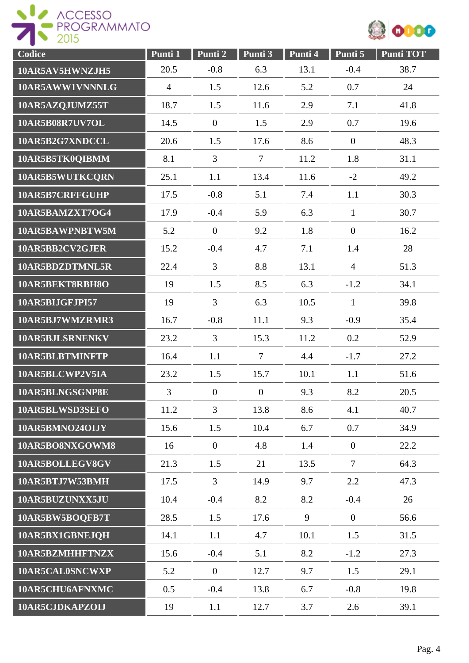



| Codice          | Punti 1        | Punti 2        | Punti 3        | Punti 4 | Punti 5        | <b>Punti TOT</b> |
|-----------------|----------------|----------------|----------------|---------|----------------|------------------|
| 10AR5AV5HWNZJH5 | 20.5           | $-0.8$         | 6.3            | 13.1    | $-0.4$         | 38.7             |
| 10AR5AWW1VNNNLG | $\overline{4}$ | 1.5            | 12.6           | 5.2     | 0.7            | 24               |
| 10AR5AZQJUMZ55T | 18.7           | 1.5            | 11.6           | 2.9     | 7.1            | 41.8             |
| 10AR5B08R7UV7OL | 14.5           | $\overline{0}$ | 1.5            | 2.9     | 0.7            | 19.6             |
| 10AR5B2G7XNDCCL | 20.6           | 1.5            | 17.6           | 8.6     | $\mathbf{0}$   | 48.3             |
| 10AR5B5TK0QIBMM | 8.1            | $\overline{3}$ | $\overline{7}$ | 11.2    | 1.8            | 31.1             |
| 10AR5B5WUTKCQRN | 25.1           | 1.1            | 13.4           | 11.6    | $-2$           | 49.2             |
| 10AR5B7CRFFGUHP | 17.5           | $-0.8$         | 5.1            | 7.4     | 1.1            | 30.3             |
| 10AR5BAMZXT7OG4 | 17.9           | $-0.4$         | 5.9            | 6.3     | $\mathbf{1}$   | 30.7             |
| 10AR5BAWPNBTW5M | 5.2            | $\overline{0}$ | 9.2            | 1.8     | $\mathbf{0}$   | 16.2             |
| 10AR5BB2CV2GJER | 15.2           | $-0.4$         | 4.7            | 7.1     | 1.4            | 28               |
| 10AR5BDZDTMNL5R | 22.4           | $\overline{3}$ | 8.8            | 13.1    | $\overline{4}$ | 51.3             |
| 10AR5BEKT8RBH8O | 19             | 1.5            | 8.5            | 6.3     | $-1.2$         | 34.1             |
| 10AR5BIJGFJPI57 | 19             | $\overline{3}$ | 6.3            | 10.5    | $\mathbf{1}$   | 39.8             |
| 10AR5BJ7WMZRMR3 | 16.7           | $-0.8$         | 11.1           | 9.3     | $-0.9$         | 35.4             |
| 10AR5BJLSRNENKV | 23.2           | $\overline{3}$ | 15.3           | 11.2    | 0.2            | 52.9             |
| 10AR5BLBTMINFTP | 16.4           | 1.1            | 7              | 4.4     | $-1.7$         | 27.2             |
| 10AR5BLCWP2V5IA | 23.2           | 1.5            | 15.7           | 10.1    | 1.1            | 51.6             |
| 10AR5BLNGSGNP8E | 3              | $\overline{0}$ | $\mathbf{0}$   | 9.3     | 8.2            | 20.5             |
| 10AR5BLWSD3SEFO | 11.2           | $\overline{3}$ | 13.8           | 8.6     | 4.1            | 40.7             |
| 10AR5BMNO24OLJY | 15.6           | 1.5            | 10.4           | 6.7     | 0.7            | 34.9             |
| 10AR5BO8NXGOWM8 | 16             | $\overline{0}$ | 4.8            | 1.4     | $\overline{0}$ | 22.2             |
| 10AR5BOLLEGV8GV | 21.3           | 1.5            | 21             | 13.5    | $\overline{7}$ | 64.3             |
| 10AR5BTJ7W53BMH | 17.5           | $\overline{3}$ | 14.9           | 9.7     | 2.2            | 47.3             |
| 10AR5BUZUNXX5JU | 10.4           | $-0.4$         | 8.2            | 8.2     | $-0.4$         | 26               |
| 10AR5BW5BOQFB7T | 28.5           | 1.5            | 17.6           | 9       | $\overline{0}$ | 56.6             |
| 10AR5BX1GBNEJQH | 14.1           | 1.1            | 4.7            | 10.1    | 1.5            | 31.5             |
| 10AR5BZMHHFTNZX | 15.6           | $-0.4$         | 5.1            | 8.2     | $-1.2$         | 27.3             |
| 10AR5CAL0SNCWXP | 5.2            | $\overline{0}$ | 12.7           | 9.7     | 1.5            | 29.1             |
| 10AR5CHU6AFNXMC | 0.5            | $-0.4$         | 13.8           | 6.7     | $-0.8$         | 19.8             |
| 10AR5CJDKAPZOIJ | 19             | 1.1            | 12.7           | 3.7     | 2.6            | 39.1             |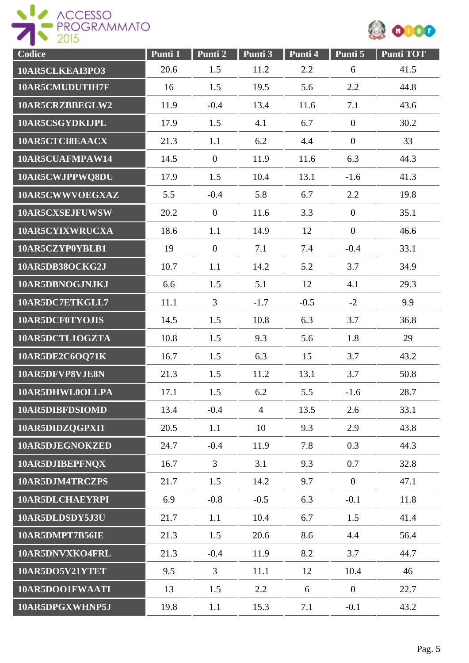



| Codice          | Punti 1 | Punti 2        | Punti 3        | Punti 4 | Punti 5        | <b>Punti TOT</b> |
|-----------------|---------|----------------|----------------|---------|----------------|------------------|
| 10AR5CLKEAI3PO3 | 20.6    | 1.5            | 11.2           | 2.2     | 6              | 41.5             |
| 10AR5CMUDUTIH7F | 16      | 1.5            | 19.5           | 5.6     | 2.2            | 44.8             |
| 10AR5CRZBBEGLW2 | 11.9    | $-0.4$         | 13.4           | 11.6    | 7.1            | 43.6             |
| 10AR5CSGYDKIJPL | 17.9    | 1.5            | 4.1            | 6.7     | $\overline{0}$ | 30.2             |
| 10AR5CTCI8EAACX | 21.3    | 1.1            | 6.2            | 4.4     | $\overline{0}$ | 33               |
| 10AR5CUAFMPAW14 | 14.5    | $\overline{0}$ | 11.9           | 11.6    | 6.3            | 44.3             |
| 10AR5CWJPPWQ8DU | 17.9    | 1.5            | 10.4           | 13.1    | $-1.6$         | 41.3             |
| 10AR5CWWVOEGXAZ | 5.5     | $-0.4$         | 5.8            | 6.7     | 2.2            | 19.8             |
| 10AR5CXSEJFUWSW | 20.2    | $\mathbf{0}$   | 11.6           | 3.3     | $\overline{0}$ | 35.1             |
| 10AR5CYIXWRUCXA | 18.6    | 1.1            | 14.9           | 12      | $\overline{0}$ | 46.6             |
| 10AR5CZYP0YBLB1 | 19      | $\overline{0}$ | 7.1            | 7.4     | $-0.4$         | 33.1             |
| 10AR5DB38OCKG2J | 10.7    | 1.1            | 14.2           | 5.2     | 3.7            | 34.9             |
| 10AR5DBNOGJNJKJ | 6.6     | 1.5            | 5.1            | 12      | 4.1            | 29.3             |
| 10AR5DC7ETKGLL7 | 11.1    | $\overline{3}$ | $-1.7$         | $-0.5$  | $-2$           | 9.9              |
| 10AR5DCF0TYOJIS | 14.5    | 1.5            | 10.8           | 6.3     | 3.7            | 36.8             |
| 10AR5DCTL1OGZTA | 10.8    | 1.5            | 9.3            | 5.6     | 1.8            | 29               |
| 10AR5DE2C6OQ71K | 16.7    | 1.5            | 6.3            | 15      | 3.7            | 43.2             |
| 10AR5DFVP8VJE8N | 21.3    | 1.5            | 11.2           | 13.1    | 3.7            | 50.8             |
| 10AR5DHWL0OLLPA | 17.1    | 1.5            | 6.2            | 5.5     | $-1.6$         | 28.7             |
| 10AR5DIBFDSIOMD | 13.4    | $-0.4$         | $\overline{4}$ | 13.5    | 2.6            | 33.1             |
| 10AR5DIDZQGPXI1 | 20.5    | 1.1            | 10             | 9.3     | 2.9            | 43.8             |
| 10AR5DJEGNOKZED | 24.7    | $-0.4$         | 11.9           | 7.8     | 0.3            | 44.3             |
| 10AR5DJIBEPFNQX | 16.7    | $\overline{3}$ | 3.1            | 9.3     | 0.7            | 32.8             |
| 10AR5DJM4TRCZPS | 21.7    | 1.5            | 14.2           | 9.7     | $\overline{0}$ | 47.1             |
| 10AR5DLCHAEYRPI | 6.9     | $-0.8$         | $-0.5$         | 6.3     | $-0.1$         | 11.8             |
| 10AR5DLDSDY5J3U | 21.7    | 1.1            | 10.4           | 6.7     | 1.5            | 41.4             |
| 10AR5DMPT7B56IE | 21.3    | 1.5            | 20.6           | 8.6     | 4.4            | 56.4             |
| 10AR5DNVXKO4FRL | 21.3    | $-0.4$         | 11.9           | 8.2     | 3.7            | 44.7             |
| 10AR5DO5V21YTET | 9.5     | $\overline{3}$ | 11.1           | 12      | 10.4           | 46               |
| 10AR5DOO1FWAATI | 13      | 1.5            | 2.2            | 6       | $\overline{0}$ | 22.7             |
| 10AR5DPGXWHNP5J | 19.8    | 1.1            | 15.3           | 7.1     | $-0.1$         | 43.2             |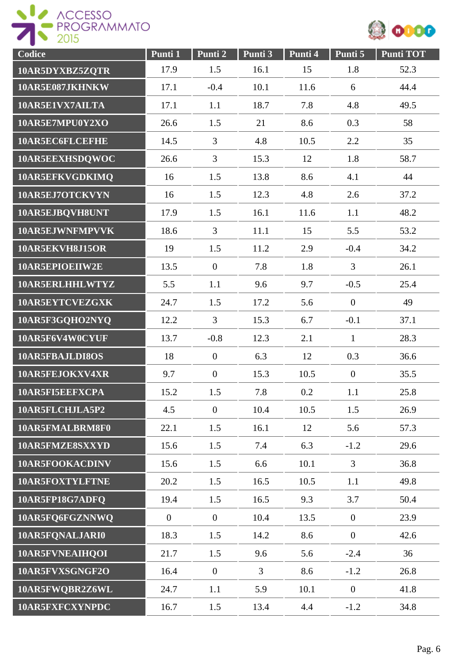



| Codice          | Punti 1        | Punti 2        | Punti 3        | Punti 4 | Punti 5        | <b>Punti TOT</b> |
|-----------------|----------------|----------------|----------------|---------|----------------|------------------|
| 10AR5DYXBZ5ZQTR | 17.9           | 1.5            | 16.1           | 15      | 1.8            | 52.3             |
| 10AR5E087JKHNKW | 17.1           | $-0.4$         | 10.1           | 11.6    | 6              | 44.4             |
| 10AR5E1VX7AILTA | 17.1           | 1.1            | 18.7           | 7.8     | 4.8            | 49.5             |
| 10AR5E7MPU0Y2XO | 26.6           | 1.5            | 21             | 8.6     | 0.3            | 58               |
| 10AR5EC6FLCEFHE | 14.5           | $\overline{3}$ | 4.8            | 10.5    | 2.2            | 35               |
| 10AR5EEXHSDQWOC | 26.6           | $\overline{3}$ | 15.3           | 12      | 1.8            | 58.7             |
| 10AR5EFKVGDKIMQ | 16             | 1.5            | 13.8           | 8.6     | 4.1            | 44               |
| 10AR5EJ7OTCKVYN | 16             | 1.5            | 12.3           | 4.8     | 2.6            | 37.2             |
| 10AR5EJBQVH8UNT | 17.9           | 1.5            | 16.1           | 11.6    | 1.1            | 48.2             |
| 10AR5EJWNFMPVVK | 18.6           | 3              | 11.1           | 15      | 5.5            | 53.2             |
| 10AR5EKVH8J15OR | 19             | 1.5            | 11.2           | 2.9     | $-0.4$         | 34.2             |
| 10AR5EPIOEIIW2E | 13.5           | $\overline{0}$ | 7.8            | 1.8     | $\overline{3}$ | 26.1             |
| 10AR5ERLHHLWTYZ | 5.5            | 1.1            | 9.6            | 9.7     | $-0.5$         | 25.4             |
| 10AR5EYTCVEZGXK | 24.7           | 1.5            | 17.2           | 5.6     | $\overline{0}$ | 49               |
| 10AR5F3GQHO2NYQ | 12.2           | $\overline{3}$ | 15.3           | 6.7     | $-0.1$         | 37.1             |
| 10AR5F6V4W0CYUF | 13.7           | $-0.8$         | 12.3           | 2.1     | $\mathbf{1}$   | 28.3             |
| 10AR5FBAJLDI8OS | 18             | $\overline{0}$ | 6.3            | 12      | 0.3            | 36.6             |
| 10AR5FEJOKXV4XR | 9.7            | $\mathbf{0}$   | 15.3           | 10.5    | $\overline{0}$ | 35.5             |
| 10AR5FI5EEFXCPA | 15.2           | 1.5            | 7.8            | 0.2     | 1.1            | 25.8             |
| 10AR5FLCHJLA5P2 | 4.5            | $\overline{0}$ | 10.4           | 10.5    | 1.5            | 26.9             |
| 10AR5FMALBRM8F0 | 22.1           | 1.5            | 16.1           | 12      | 5.6            | 57.3             |
| 10AR5FMZE8SXXYD | 15.6           | 1.5            | 7.4            | 6.3     | $-1.2$         | 29.6             |
| 10AR5FOOKACDINV | 15.6           | 1.5            | 6.6            | 10.1    | $\overline{3}$ | 36.8             |
| 10AR5FOXTYLFTNE | 20.2           | 1.5            | 16.5           | 10.5    | 1.1            | 49.8             |
| 10AR5FP18G7ADFQ | 19.4           | 1.5            | 16.5           | 9.3     | 3.7            | 50.4             |
| 10AR5FQ6FGZNNWQ | $\overline{0}$ | $\overline{0}$ | 10.4           | 13.5    | $\overline{0}$ | 23.9             |
| 10AR5FQNALJARI0 | 18.3           | 1.5            | 14.2           | 8.6     | $\overline{0}$ | 42.6             |
| 10AR5FVNEAIHQOI | 21.7           | 1.5            | 9.6            | 5.6     | $-2.4$         | 36               |
| 10AR5FVXSGNGF2O | 16.4           | $\overline{0}$ | $\overline{3}$ | 8.6     | $-1.2$         | 26.8             |
| 10AR5FWQBR2Z6WL | 24.7           | 1.1            | 5.9            | 10.1    | $\mathbf{0}$   | 41.8             |
| 10AR5FXFCXYNPDC | 16.7           | 1.5            | 13.4           | 4.4     | $-1.2$         | 34.8             |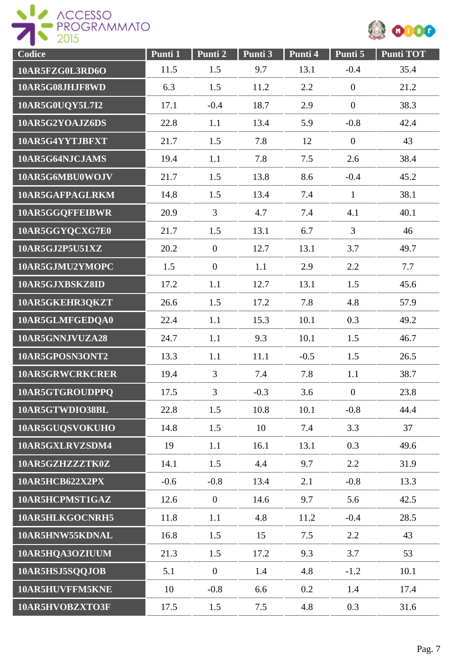



| Codice          | Punti 1 | Punti 2        | Punti 3 | Punti 4 | Punti 5          | <b>Punti TOT</b> |
|-----------------|---------|----------------|---------|---------|------------------|------------------|
| 10AR5FZG0L3RD6O | 11.5    | 1.5            | 9.7     | 13.1    | $-0.4$           | 35.4             |
| 10AR5G08JHJF8WD | 6.3     | 1.5            | 11.2    | 2.2     | $\mathbf{0}$     | 21.2             |
| 10AR5G0UQY5L7I2 | 17.1    | $-0.4$         | 18.7    | 2.9     | $\overline{0}$   | 38.3             |
| 10AR5G2YOAJZ6DS | 22.8    | 1.1            | 13.4    | 5.9     | $-0.8$           | 42.4             |
| 10AR5G4YYTJBFXT | 21.7    | 1.5            | 7.8     | 12      | $\boldsymbol{0}$ | 43               |
| 10AR5G64NJCJAMS | 19.4    | 1.1            | 7.8     | 7.5     | 2.6              | 38.4             |
| 10AR5G6MBU0WOJV | 21.7    | 1.5            | 13.8    | 8.6     | $-0.4$           | 45.2             |
| 10AR5GAFPAGLRKM | 14.8    | 1.5            | 13.4    | 7.4     | $\mathbf{1}$     | 38.1             |
| 10AR5GGQFFEIBWR | 20.9    | $\overline{3}$ | 4.7     | 7.4     | 4.1              | 40.1             |
| 10AR5GGYQCXG7E0 | 21.7    | 1.5            | 13.1    | 6.7     | $\overline{3}$   | 46               |
| 10AR5GJ2P5U51XZ | 20.2    | $\mathbf{0}$   | 12.7    | 13.1    | 3.7              | 49.7             |
| 10AR5GJMU2YMOPC | 1.5     | $\mathbf{0}$   | 1.1     | 2.9     | 2.2              | 7.7              |
| 10AR5GJXBSKZ8ID | 17.2    | 1.1            | 12.7    | 13.1    | 1.5              | 45.6             |
| 10AR5GKEHR3QKZT | 26.6    | 1.5            | 17.2    | 7.8     | 4.8              | 57.9             |
| 10AR5GLMFGEDQA0 | 22.4    | 1.1            | 15.3    | 10.1    | 0.3              | 49.2             |
| 10AR5GNNJVUZA28 | 24.7    | 1.1            | 9.3     | 10.1    | 1.5              | 46.7             |
| 10AR5GPOSN3ONT2 | 13.3    | 1.1            | 11.1    | $-0.5$  | 1.5              | 26.5             |
| 10AR5GRWCRKCRER | 19.4    | $\overline{3}$ | 7.4     | 7.8     | 1.1              | 38.7             |
| 10AR5GTGROUDPPQ | 17.5    | 3              | $-0.3$  | 3.6     | $\overline{0}$   | 23.8             |
| 10AR5GTWDIO38BL | 22.8    | 1.5            | 10.8    | 10.1    | $-0.8$           | 44.4             |
| 10AR5GUQSVOKUHO | 14.8    | 1.5            | 10      | 7.4     | 3.3              | 37               |
| 10AR5GXLRVZSDM4 | 19      | 1.1            | 16.1    | 13.1    | 0.3              | 49.6             |
| 10AR5GZHZZZTK0Z | 14.1    | 1.5            | 4.4     | 9.7     | 2.2              | 31.9             |
| 10AR5HCB622X2PX | $-0.6$  | $-0.8$         | 13.4    | 2.1     | $-0.8$           | 13.3             |
| 10AR5HCPMST1GAZ | 12.6    | $\mathbf{0}$   | 14.6    | 9.7     | 5.6              | 42.5             |
| 10AR5HLKGOCNRH5 | 11.8    | 1.1            | 4.8     | 11.2    | $-0.4$           | 28.5             |
| 10AR5HNW55KDNAL | 16.8    | 1.5            | 15      | 7.5     | 2.2              | 43               |
| 10AR5HQA3OZIUUM | 21.3    | 1.5            | 17.2    | 9.3     | 3.7              | 53               |
| 10AR5HSJ5SQQJOB | 5.1     | $\overline{0}$ | 1.4     | 4.8     | $-1.2$           | 10.1             |
| 10AR5HUVFFM5KNE | 10      | $-0.8$         | 6.6     | 0.2     | 1.4              | 17.4             |
| 10AR5HVOBZXTO3F | 17.5    | 1.5            | 7.5     | 4.8     | 0.3              | 31.6             |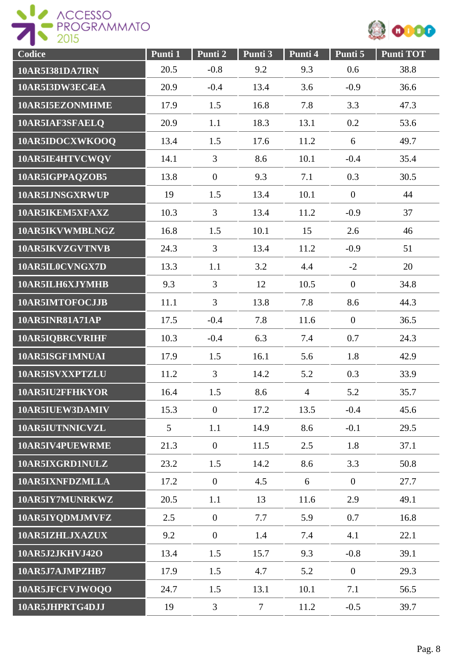



| Codice                 | Punti 1 | Punti 2        | Punti 3        | Punti 4        | Punti 5        | <b>Punti TOT</b> |
|------------------------|---------|----------------|----------------|----------------|----------------|------------------|
| <b>10AR5I381DA7IRN</b> | 20.5    | $-0.8$         | 9.2            | 9.3            | 0.6            | 38.8             |
| 10AR5I3DW3EC4EA        | 20.9    | $-0.4$         | 13.4           | 3.6            | $-0.9$         | 36.6             |
| 10AR5I5EZONMHME        | 17.9    | 1.5            | 16.8           | 7.8            | 3.3            | 47.3             |
| 10AR5IAF3SFAELQ        | 20.9    | 1.1            | 18.3           | 13.1           | 0.2            | 53.6             |
| 10AR5IDOCXWKOOQ        | 13.4    | 1.5            | 17.6           | 11.2           | 6              | 49.7             |
| 10AR5IE4HTVCWQV        | 14.1    | $\overline{3}$ | 8.6            | 10.1           | $-0.4$         | 35.4             |
| 10AR5IGPPAQZOB5        | 13.8    | $\mathbf{0}$   | 9.3            | 7.1            | 0.3            | 30.5             |
| 10AR5IJNSGXRWUP        | 19      | 1.5            | 13.4           | 10.1           | $\mathbf{0}$   | 44               |
| 10AR5IKEM5XFAXZ        | 10.3    | $\overline{3}$ | 13.4           | 11.2           | $-0.9$         | 37               |
| 10AR5IKVWMBLNGZ        | 16.8    | 1.5            | 10.1           | 15             | 2.6            | 46               |
| 10AR5IKVZGVTNVB        | 24.3    | $\overline{3}$ | 13.4           | 11.2           | $-0.9$         | 51               |
| 10AR5IL0CVNGX7D        | 13.3    | 1.1            | 3.2            | 4.4            | $-2$           | 20               |
| 10AR5ILH6XJYMHB        | 9.3     | $\overline{3}$ | 12             | 10.5           | $\overline{0}$ | 34.8             |
| 10AR5IMTOFOCJJB        | 11.1    | $\overline{3}$ | 13.8           | 7.8            | 8.6            | 44.3             |
| 10AR5INR81A71AP        | 17.5    | $-0.4$         | 7.8            | 11.6           | $\overline{0}$ | 36.5             |
| 10AR5IQBRCVRIHF        | 10.3    | $-0.4$         | 6.3            | 7.4            | 0.7            | 24.3             |
| 10AR5ISGF1MNUAI        | 17.9    | 1.5            | 16.1           | 5.6            | 1.8            | 42.9             |
| 10AR5ISVXXPTZLU        | 11.2    | $\overline{3}$ | 14.2           | 5.2            | 0.3            | 33.9             |
| 10AR5IU2FFHKYOR        | 16.4    | 1.5            | 8.6            | $\overline{4}$ | 5.2            | 35.7             |
| 10AR5IUEW3DAMIV        | 15.3    | $\overline{0}$ | 17.2           | 13.5           | $-0.4$         | 45.6             |
| 10AR5IUTNNICVZL        | 5       | 1.1            | 14.9           | 8.6            | $-0.1$         | 29.5             |
| 10AR5IV4PUEWRME        | 21.3    | $\overline{0}$ | 11.5           | 2.5            | 1.8            | 37.1             |
| 10AR5IXGRD1NULZ        | 23.2    | 1.5            | 14.2           | 8.6            | 3.3            | 50.8             |
| 10AR5IXNFDZMLLA        | 17.2    | $\overline{0}$ | 4.5            | 6              | $\overline{0}$ | 27.7             |
| 10AR5IY7MUNRKWZ        | 20.5    | 1.1            | 13             | 11.6           | 2.9            | 49.1             |
| 10AR5IYQDMJMVFZ        | 2.5     | $\overline{0}$ | 7.7            | 5.9            | 0.7            | 16.8             |
| 10AR5IZHLJXAZUX        | 9.2     | $\overline{0}$ | 1.4            | 7.4            | 4.1            | 22.1             |
| 10AR5J2JKHVJ42O        | 13.4    | 1.5            | 15.7           | 9.3            | $-0.8$         | 39.1             |
| 10AR5J7AJMPZHB7        | 17.9    | 1.5            | 4.7            | 5.2            | $\mathbf{0}$   | 29.3             |
| 10AR5JFCFVJWOQO        | 24.7    | 1.5            | 13.1           | 10.1           | 7.1            | 56.5             |
| 10AR5JHPRTG4DJJ        | 19      | $\overline{3}$ | $\overline{7}$ | 11.2           | $-0.5$         | 39.7             |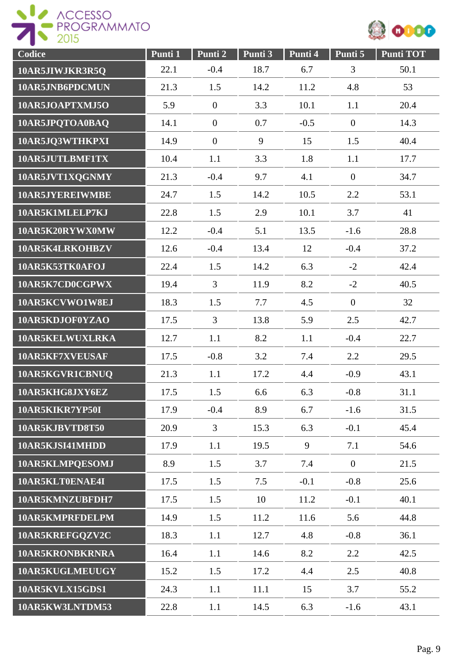



| Codice          | Punti 1 | Punti 2        | Punti 3 | Punti 4 | Punti 5        | <b>Punti TOT</b> |
|-----------------|---------|----------------|---------|---------|----------------|------------------|
| 10AR5JIWJKR3R5Q | 22.1    | $-0.4$         | 18.7    | 6.7     | 3              | 50.1             |
| 10AR5JNB6PDCMUN | 21.3    | 1.5            | 14.2    | 11.2    | 4.8            | 53               |
| 10AR5JOAPTXMJ5O | 5.9     | $\mathbf{0}$   | 3.3     | 10.1    | 1.1            | 20.4             |
| 10AR5JPQTOA0BAQ | 14.1    | $\mathbf{0}$   | 0.7     | $-0.5$  | $\overline{0}$ | 14.3             |
| 10AR5JQ3WTHKPXI | 14.9    | $\mathbf{0}$   | 9       | 15      | 1.5            | 40.4             |
| 10AR5JUTLBMF1TX | 10.4    | 1.1            | 3.3     | 1.8     | 1.1            | 17.7             |
| 10AR5JVT1XQGNMY | 21.3    | $-0.4$         | 9.7     | 4.1     | $\mathbf{0}$   | 34.7             |
| 10AR5JYEREIWMBE | 24.7    | 1.5            | 14.2    | 10.5    | 2.2            | 53.1             |
| 10AR5K1MLELP7KJ | 22.8    | 1.5            | 2.9     | 10.1    | 3.7            | 41               |
| 10AR5K20RYWX0MW | 12.2    | $-0.4$         | 5.1     | 13.5    | $-1.6$         | 28.8             |
| 10AR5K4LRKOHBZV | 12.6    | $-0.4$         | 13.4    | 12      | $-0.4$         | 37.2             |
| 10AR5K53TK0AFOJ | 22.4    | 1.5            | 14.2    | 6.3     | $-2$           | 42.4             |
| 10AR5K7CD0CGPWX | 19.4    | $\overline{3}$ | 11.9    | 8.2     | $-2$           | 40.5             |
| 10AR5KCVWO1W8EJ | 18.3    | 1.5            | 7.7     | 4.5     | $\overline{0}$ | 32               |
| 10AR5KDJOF0YZAO | 17.5    | $\overline{3}$ | 13.8    | 5.9     | 2.5            | 42.7             |
| 10AR5KELWUXLRKA | 12.7    | 1.1            | 8.2     | 1.1     | $-0.4$         | 22.7             |
| 10AR5KF7XVEUSAF | 17.5    | $-0.8$         | 3.2     | 7.4     | 2.2            | 29.5             |
| 10AR5KGVR1CBNUQ | 21.3    | 1.1            | 17.2    | 4.4     | $-0.9$         | 43.1             |
| 10AR5KHG8JXY6EZ | 17.5    | 1.5            | 6.6     | 6.3     | $-0.8$         | 31.1             |
| 10AR5KIKR7YP50I | 17.9    | $-0.4$         | 8.9     | 6.7     | $-1.6$         | 31.5             |
| 10AR5KJBVTD8T50 | 20.9    | $\overline{3}$ | 15.3    | 6.3     | $-0.1$         | 45.4             |
| 10AR5KJSI41MHDD | 17.9    | 1.1            | 19.5    | 9       | 7.1            | 54.6             |
| 10AR5KLMPQESOMJ | 8.9     | 1.5            | 3.7     | 7.4     | $\overline{0}$ | 21.5             |
| 10AR5KLT0ENAE4I | 17.5    | 1.5            | 7.5     | $-0.1$  | $-0.8$         | 25.6             |
| 10AR5KMNZUBFDH7 | 17.5    | 1.5            | 10      | 11.2    | $-0.1$         | 40.1             |
| 10AR5KMPRFDELPM | 14.9    | 1.5            | 11.2    | 11.6    | 5.6            | 44.8             |
| 10AR5KREFGQZV2C | 18.3    | 1.1            | 12.7    | 4.8     | $-0.8$         | 36.1             |
| 10AR5KRONBKRNRA | 16.4    | 1.1            | 14.6    | 8.2     | 2.2            | 42.5             |
| 10AR5KUGLMEUUGY | 15.2    | 1.5            | 17.2    | 4.4     | 2.5            | 40.8             |
| 10AR5KVLX15GDS1 | 24.3    | 1.1            | 11.1    | 15      | 3.7            | 55.2             |
| 10AR5KW3LNTDM53 | 22.8    | 1.1            | 14.5    | 6.3     | $-1.6$         | 43.1             |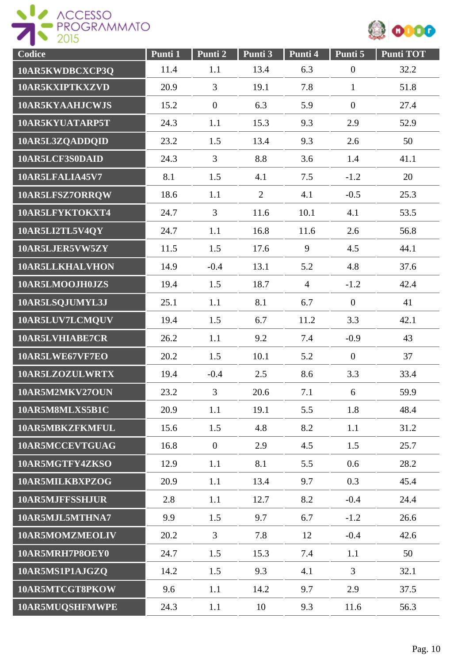



| Codice          | Punti 1 | Punti 2        | Punti 3        | Punti 4        | Punti 5          | <b>Punti TOT</b> |
|-----------------|---------|----------------|----------------|----------------|------------------|------------------|
| 10AR5KWDBCXCP3Q | 11.4    | 1.1            | 13.4           | 6.3            | $\boldsymbol{0}$ | 32.2             |
| 10AR5KXIPTKXZVD | 20.9    | 3              | 19.1           | 7.8            | $\mathbf{1}$     | 51.8             |
| 10AR5KYAAHJCWJS | 15.2    | $\mathbf{0}$   | 6.3            | 5.9            | $\overline{0}$   | 27.4             |
| 10AR5KYUATARP5T | 24.3    | 1.1            | 15.3           | 9.3            | 2.9              | 52.9             |
| 10AR5L3ZQADDQID | 23.2    | 1.5            | 13.4           | 9.3            | 2.6              | 50               |
| 10AR5LCF3S0DAID | 24.3    | $\overline{3}$ | 8.8            | 3.6            | 1.4              | 41.1             |
| 10AR5LFALIA45V7 | 8.1     | 1.5            | 4.1            | 7.5            | $-1.2$           | 20               |
| 10AR5LFSZ7ORRQW | 18.6    | 1.1            | $\overline{2}$ | 4.1            | $-0.5$           | 25.3             |
| 10AR5LFYKTOKXT4 | 24.7    | $\overline{3}$ | 11.6           | 10.1           | 4.1              | 53.5             |
| 10AR5LI2TL5V4QY | 24.7    | 1.1            | 16.8           | 11.6           | 2.6              | 56.8             |
| 10AR5LJER5VW5ZY | 11.5    | 1.5            | 17.6           | 9              | 4.5              | 44.1             |
| 10AR5LLKHALVHON | 14.9    | $-0.4$         | 13.1           | 5.2            | 4.8              | 37.6             |
| 10AR5LMOOJH0JZS | 19.4    | 1.5            | 18.7           | $\overline{4}$ | $-1.2$           | 42.4             |
| 10AR5LSQJUMYL3J | 25.1    | 1.1            | 8.1            | 6.7            | $\overline{0}$   | 41               |
| 10AR5LUV7LCMQUV | 19.4    | 1.5            | 6.7            | 11.2           | 3.3              | 42.1             |
| 10AR5LVHIABE7CR | 26.2    | 1.1            | 9.2            | 7.4            | $-0.9$           | 43               |
| 10AR5LWE67VF7EO | 20.2    | 1.5            | 10.1           | 5.2            | $\overline{0}$   | 37               |
| 10AR5LZOZULWRTX | 19.4    | $-0.4$         | 2.5            | 8.6            | 3.3              | 33.4             |
| 10AR5M2MKV27OUN | 23.2    | 3              | 20.6           | 7.1            | 6                | 59.9             |
| 10AR5M8MLXS5B1C | 20.9    | 1.1            | 19.1           | 5.5            | 1.8              | 48.4             |
| 10AR5MBKZFKMFUL | 15.6    | 1.5            | 4.8            | 8.2            | 1.1              | 31.2             |
| 10AR5MCCEVTGUAG | 16.8    | $\overline{0}$ | 2.9            | 4.5            | 1.5              | 25.7             |
| 10AR5MGTFY4ZKSO | 12.9    | 1.1            | 8.1            | 5.5            | 0.6              | 28.2             |
| 10AR5MILKBXPZOG | 20.9    | 1.1            | 13.4           | 9.7            | 0.3              | 45.4             |
| 10AR5MJFFSSHJUR | 2.8     | 1.1            | 12.7           | 8.2            | $-0.4$           | 24.4             |
| 10AR5MJL5MTHNA7 | 9.9     | 1.5            | 9.7            | 6.7            | $-1.2$           | 26.6             |
| 10AR5MOMZMEOLIV | 20.2    | $\overline{3}$ | 7.8            | 12             | $-0.4$           | 42.6             |
| 10AR5MRH7P8OEY0 | 24.7    | 1.5            | 15.3           | 7.4            | 1.1              | 50               |
| 10AR5MS1P1AJGZQ | 14.2    | 1.5            | 9.3            | 4.1            | $\overline{3}$   | 32.1             |
| 10AR5MTCGT8PKOW | 9.6     | 1.1            | 14.2           | 9.7            | 2.9              | 37.5             |
| 10AR5MUQSHFMWPE | 24.3    | 1.1            | 10             | 9.3            | 11.6             | 56.3             |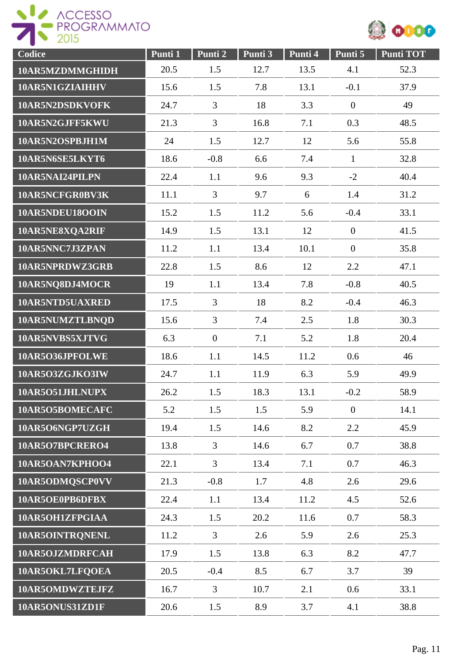



| Codice          | Punti 1 | Punti 2        | Punti 3 | Punti 4 | Punti 5        | <b>Punti TOT</b> |
|-----------------|---------|----------------|---------|---------|----------------|------------------|
| 10AR5MZDMMGHIDH | 20.5    | 1.5            | 12.7    | 13.5    | 4.1            | 52.3             |
| 10AR5N1GZIAIHHV | 15.6    | 1.5            | 7.8     | 13.1    | $-0.1$         | 37.9             |
| 10AR5N2DSDKVOFK | 24.7    | 3              | 18      | 3.3     | $\overline{0}$ | 49               |
| 10AR5N2GJFF5KWU | 21.3    | 3              | 16.8    | 7.1     | 0.3            | 48.5             |
| 10AR5N2OSPBJH1M | 24      | 1.5            | 12.7    | 12      | 5.6            | 55.8             |
| 10AR5N6SE5LKYT6 | 18.6    | $-0.8$         | 6.6     | 7.4     | $\mathbf{1}$   | 32.8             |
| 10AR5NAI24PILPN | 22.4    | 1.1            | 9.6     | 9.3     | $-2$           | 40.4             |
| 10AR5NCFGR0BV3K | 11.1    | $\overline{3}$ | 9.7     | 6       | 1.4            | 31.2             |
| 10AR5NDEU18OOIN | 15.2    | 1.5            | 11.2    | 5.6     | $-0.4$         | 33.1             |
| 10AR5NE8XQA2RIF | 14.9    | 1.5            | 13.1    | 12      | $\overline{0}$ | 41.5             |
| 10AR5NNC7J3ZPAN | 11.2    | 1.1            | 13.4    | 10.1    | $\overline{0}$ | 35.8             |
| 10AR5NPRDWZ3GRB | 22.8    | 1.5            | 8.6     | 12      | 2.2            | 47.1             |
| 10AR5NQ8DJ4MOCR | 19      | 1.1            | 13.4    | 7.8     | $-0.8$         | 40.5             |
| 10AR5NTD5UAXRED | 17.5    | $\overline{3}$ | 18      | 8.2     | $-0.4$         | 46.3             |
| 10AR5NUMZTLBNQD | 15.6    | $\overline{3}$ | 7.4     | 2.5     | 1.8            | 30.3             |
| 10AR5NVBS5XJTVG | 6.3     | $\overline{0}$ | 7.1     | 5.2     | 1.8            | 20.4             |
| 10AR5O36JPFOLWE | 18.6    | 1.1            | 14.5    | 11.2    | 0.6            | 46               |
| 10AR5O3ZGJKO3IW | 24.7    | 1.1            | 11.9    | 6.3     | 5.9            | 49.9             |
| 10AR5O51JHLNUPX | 26.2    | 1.5            | 18.3    | 13.1    | $-0.2$         | 58.9             |
| 10AR5O5BOMECAFC | 5.2     | 1.5            | 1.5     | 5.9     | $\overline{0}$ | 14.1             |
| 10AR5O6NGP7UZGH | 19.4    | 1.5            | 14.6    | 8.2     | 2.2            | 45.9             |
| 10AR5O7BPCRERO4 | 13.8    | $\overline{3}$ | 14.6    | 6.7     | 0.7            | 38.8             |
| 10AR5OAN7KPHOO4 | 22.1    | $\overline{3}$ | 13.4    | 7.1     | 0.7            | 46.3             |
| 10AR5ODMQSCP0VV | 21.3    | $-0.8$         | 1.7     | 4.8     | 2.6            | 29.6             |
| 10AR5OE0PB6DFBX | 22.4    | 1.1            | 13.4    | 11.2    | 4.5            | 52.6             |
| 10AR5OH1ZFPGIAA | 24.3    | 1.5            | 20.2    | 11.6    | 0.7            | 58.3             |
| 10AR5OINTRQNENL | 11.2    | $\overline{3}$ | 2.6     | 5.9     | 2.6            | 25.3             |
| 10AR5OJZMDRFCAH | 17.9    | 1.5            | 13.8    | 6.3     | 8.2            | 47.7             |
| 10AR5OKL7LFQOEA | 20.5    | $-0.4$         | 8.5     | 6.7     | 3.7            | 39               |
| 10AR5OMDWZTEJFZ | 16.7    | $\overline{3}$ | 10.7    | 2.1     | 0.6            | 33.1             |
| 10AR5ONUS31ZD1F | 20.6    | 1.5            | 8.9     | 3.7     | 4.1            | 38.8             |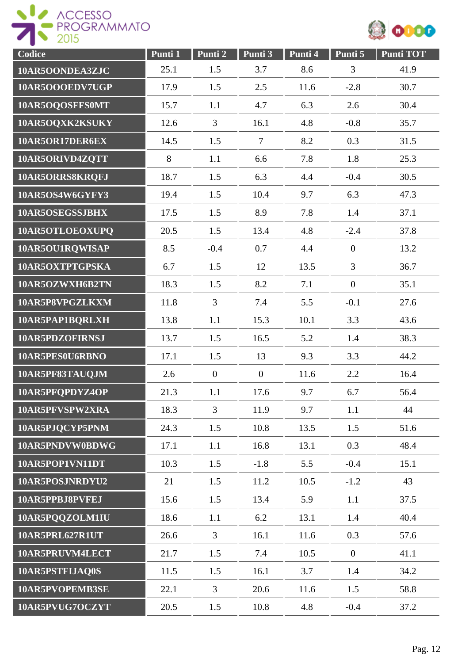



| Codice          | Punti 1 | Punti 2        | Punti 3          | Punti 4 | Punti 5        | <b>Punti TOT</b> |
|-----------------|---------|----------------|------------------|---------|----------------|------------------|
| 10AR5OONDEA3ZJC | 25.1    | 1.5            | 3.7              | 8.6     | 3              | 41.9             |
| 10AR5OOOEDV7UGP | 17.9    | 1.5            | 2.5              | 11.6    | $-2.8$         | 30.7             |
| 10AR5OQOSFFS0MT | 15.7    | 1.1            | 4.7              | 6.3     | 2.6            | 30.4             |
| 10AR5OQXK2KSUKY | 12.6    | $\overline{3}$ | 16.1             | 4.8     | $-0.8$         | 35.7             |
| 10AR5OR17DER6EX | 14.5    | 1.5            | $\overline{7}$   | 8.2     | 0.3            | 31.5             |
| 10AR5ORIVD4ZQTT | 8       | 1.1            | 6.6              | 7.8     | 1.8            | 25.3             |
| 10AR5ORRS8KRQFJ | 18.7    | 1.5            | 6.3              | 4.4     | $-0.4$         | 30.5             |
| 10AR5OS4W6GYFY3 | 19.4    | 1.5            | 10.4             | 9.7     | 6.3            | 47.3             |
| 10AR5OSEGSSJBHX | 17.5    | 1.5            | 8.9              | 7.8     | 1.4            | 37.1             |
| 10AR5OTLOEOXUPQ | 20.5    | 1.5            | 13.4             | 4.8     | $-2.4$         | 37.8             |
| 10AR5OU1RQWISAP | 8.5     | $-0.4$         | 0.7              | 4.4     | $\mathbf{0}$   | 13.2             |
| 10AR5OXTPTGPSKA | 6.7     | 1.5            | 12               | 13.5    | 3              | 36.7             |
| 10AR5OZWXH6B2TN | 18.3    | 1.5            | 8.2              | 7.1     | $\overline{0}$ | 35.1             |
| 10AR5P8VPGZLKXM | 11.8    | $\overline{3}$ | 7.4              | 5.5     | $-0.1$         | 27.6             |
| 10AR5PAP1BQRLXH | 13.8    | 1.1            | 15.3             | 10.1    | 3.3            | 43.6             |
| 10AR5PDZOFIRNSJ | 13.7    | 1.5            | 16.5             | 5.2     | 1.4            | 38.3             |
| 10AR5PES0U6RBNO | 17.1    | 1.5            | 13               | 9.3     | 3.3            | 44.2             |
| 10AR5PF83TAUQJM | 2.6     | $\overline{0}$ | $\boldsymbol{0}$ | 11.6    | 2.2            | 16.4             |
| 10AR5PFQPDYZ4OP | 21.3    | 1.1            | 17.6             | 9.7     | 6.7            | 56.4             |
| 10AR5PFVSPW2XRA | 18.3    | $\overline{3}$ | 11.9             | 9.7     | 1.1            | 44               |
| 10AR5PJQCYP5PNM | 24.3    | 1.5            | 10.8             | 13.5    | 1.5            | 51.6             |
| 10AR5PNDVW0BDWG | 17.1    | 1.1            | 16.8             | 13.1    | 0.3            | 48.4             |
| 10AR5POP1VN11DT | 10.3    | 1.5            | $-1.8$           | 5.5     | $-0.4$         | 15.1             |
| 10AR5POSJNRDYU2 | 21      | 1.5            | 11.2             | 10.5    | $-1.2$         | 43               |
| 10AR5PPBJ8PVFEJ | 15.6    | 1.5            | 13.4             | 5.9     | 1.1            | 37.5             |
| 10AR5PQQZOLM1IU | 18.6    | 1.1            | 6.2              | 13.1    | 1.4            | 40.4             |
| 10AR5PRL627R1UT | 26.6    | $\overline{3}$ | 16.1             | 11.6    | 0.3            | 57.6             |
| 10AR5PRUVM4LECT | 21.7    | 1.5            | 7.4              | 10.5    | $\mathbf{0}$   | 41.1             |
| 10AR5PSTFLJAQ0S | 11.5    | 1.5            | 16.1             | 3.7     | 1.4            | 34.2             |
| 10AR5PVOPEMB3SE | 22.1    | $\overline{3}$ | 20.6             | 11.6    | 1.5            | 58.8             |
| 10AR5PVUG7OCZYT | 20.5    | 1.5            | 10.8             | 4.8     | $-0.4$         | 37.2             |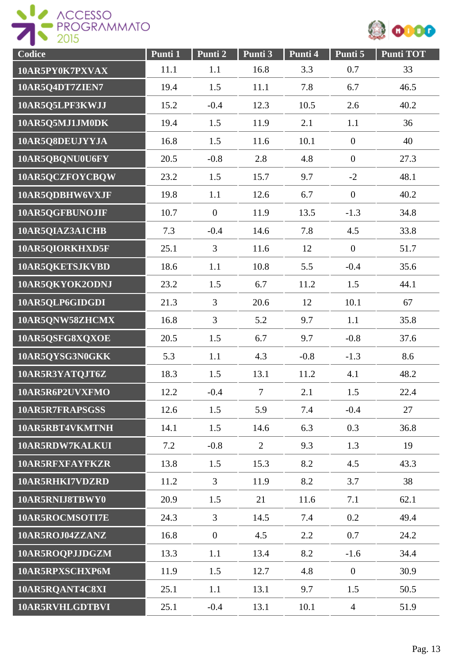



| Codice          | Punti 1 | Punti <sub>2</sub> | Punti 3        | Punti 4 | Punti 5          | <b>Punti TOT</b> |
|-----------------|---------|--------------------|----------------|---------|------------------|------------------|
| 10AR5PY0K7PXVAX | 11.1    | 1.1                | 16.8           | 3.3     | 0.7              | 33               |
| 10AR5Q4DT7ZIEN7 | 19.4    | 1.5                | 11.1           | 7.8     | 6.7              | 46.5             |
| 10AR5Q5LPF3KWJJ | 15.2    | $-0.4$             | 12.3           | 10.5    | 2.6              | 40.2             |
| 10AR5Q5MJ1JM0DK | 19.4    | 1.5                | 11.9           | 2.1     | 1.1              | 36               |
| 10AR5Q8DEUJYYJA | 16.8    | 1.5                | 11.6           | 10.1    | $\boldsymbol{0}$ | 40               |
| 10AR5QBQNU0U6FY | 20.5    | $-0.8$             | 2.8            | 4.8     | $\overline{0}$   | 27.3             |
| 10AR5QCZFOYCBQW | 23.2    | 1.5                | 15.7           | 9.7     | $-2$             | 48.1             |
| 10AR5QDBHW6VXJF | 19.8    | 1.1                | 12.6           | 6.7     | $\overline{0}$   | 40.2             |
| 10AR5QGFBUNOJIF | 10.7    | $\overline{0}$     | 11.9           | 13.5    | $-1.3$           | 34.8             |
| 10AR5QIAZ3A1CHB | 7.3     | $-0.4$             | 14.6           | 7.8     | 4.5              | 33.8             |
| 10AR5QIORKHXD5F | 25.1    | $\overline{3}$     | 11.6           | 12      | $\overline{0}$   | 51.7             |
| 10AR5QKETSJKVBD | 18.6    | 1.1                | 10.8           | 5.5     | $-0.4$           | 35.6             |
| 10AR5QKYOK2ODNJ | 23.2    | 1.5                | 6.7            | 11.2    | 1.5              | 44.1             |
| 10AR5QLP6GIDGDI | 21.3    | $\overline{3}$     | 20.6           | 12      | 10.1             | 67               |
| 10AR5QNW58ZHCMX | 16.8    | $\overline{3}$     | 5.2            | 9.7     | 1.1              | 35.8             |
| 10AR5QSFG8XQXOE | 20.5    | 1.5                | 6.7            | 9.7     | $-0.8$           | 37.6             |
| 10AR5QYSG3N0GKK | 5.3     | 1.1                | 4.3            | $-0.8$  | $-1.3$           | 8.6              |
| 10AR5R3YATQJT6Z | 18.3    | 1.5                | 13.1           | 11.2    | 4.1              | 48.2             |
| 10AR5R6P2UVXFMO | 12.2    | $-0.4$             | 7              | 2.1     | 1.5              | 22.4             |
| 10AR5R7FRAPSGSS | 12.6    | 1.5                | 5.9            | 7.4     | $-0.4$           | 27               |
| 10AR5RBT4VKMTNH | 14.1    | 1.5                | 14.6           | 6.3     | 0.3              | 36.8             |
| 10AR5RDW7KALKUI | 7.2     | $-0.8$             | $\overline{2}$ | 9.3     | 1.3              | 19               |
| 10AR5RFXFAYFKZR | 13.8    | 1.5                | 15.3           | 8.2     | 4.5              | 43.3             |
| 10AR5RHKI7VDZRD | 11.2    | $\overline{3}$     | 11.9           | 8.2     | 3.7              | 38               |
| 10AR5RNIJ8TBWY0 | 20.9    | 1.5                | 21             | 11.6    | 7.1              | 62.1             |
| 10AR5ROCMSOTI7E | 24.3    | $\overline{3}$     | 14.5           | 7.4     | 0.2              | 49.4             |
| 10AR5ROJ04ZZANZ | 16.8    | $\boldsymbol{0}$   | 4.5            | 2.2     | 0.7              | 24.2             |
| 10AR5ROQPJJDGZM | 13.3    | 1.1                | 13.4           | 8.2     | $-1.6$           | 34.4             |
| 10AR5RPXSCHXP6M | 11.9    | 1.5                | 12.7           | 4.8     | $\mathbf{0}$     | 30.9             |
| 10AR5RQANT4C8XI | 25.1    | 1.1                | 13.1           | 9.7     | 1.5              | 50.5             |
| 10AR5RVHLGDTBVI | 25.1    | $-0.4$             | 13.1           | 10.1    | $\overline{4}$   | 51.9             |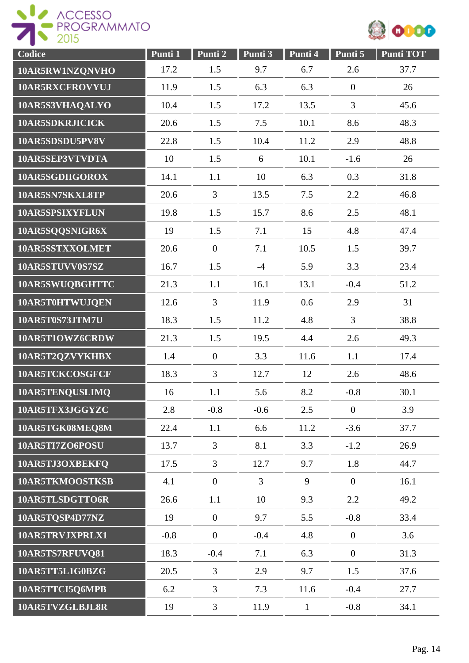



| Codice          | Punti 1 | Punti 2          | Punti 3        | Punti 4      | Punti 5          | <b>Punti TOT</b> |
|-----------------|---------|------------------|----------------|--------------|------------------|------------------|
| 10AR5RW1NZQNVHO | 17.2    | 1.5              | 9.7            | 6.7          | 2.6              | 37.7             |
| 10AR5RXCFROVYUJ | 11.9    | 1.5              | 6.3            | 6.3          | $\mathbf{0}$     | 26               |
| 10AR5S3VHAQALYO | 10.4    | 1.5              | 17.2           | 13.5         | 3                | 45.6             |
| 10AR5SDKRJICICK | 20.6    | 1.5              | 7.5            | 10.1         | 8.6              | 48.3             |
| 10AR5SDSDU5PV8V | 22.8    | 1.5              | 10.4           | 11.2         | 2.9              | 48.8             |
| 10AR5SEP3VTVDTA | 10      | 1.5              | 6              | 10.1         | $-1.6$           | 26               |
| 10AR5SGDIIGOROX | 14.1    | 1.1              | 10             | 6.3          | 0.3              | 31.8             |
| 10AR5SN7SKXL8TP | 20.6    | $\overline{3}$   | 13.5           | 7.5          | 2.2              | 46.8             |
| 10AR5SPSIXYFLUN | 19.8    | 1.5              | 15.7           | 8.6          | 2.5              | 48.1             |
| 10AR5SQQSNIGR6X | 19      | 1.5              | 7.1            | 15           | 4.8              | 47.4             |
| 10AR5SSTXXOLMET | 20.6    | $\overline{0}$   | 7.1            | 10.5         | 1.5              | 39.7             |
| 10AR5STUVV0S7SZ | 16.7    | 1.5              | $-4$           | 5.9          | 3.3              | 23.4             |
| 10AR5SWUQBGHTTC | 21.3    | 1.1              | 16.1           | 13.1         | $-0.4$           | 51.2             |
| 10AR5T0HTWUJQEN | 12.6    | $\overline{3}$   | 11.9           | 0.6          | 2.9              | 31               |
| 10AR5T0S73JTM7U | 18.3    | 1.5              | 11.2           | 4.8          | $\overline{3}$   | 38.8             |
| 10AR5T1OWZ6CRDW | 21.3    | 1.5              | 19.5           | 4.4          | 2.6              | 49.3             |
| 10AR5T2QZVYKHBX | 1.4     | $\boldsymbol{0}$ | 3.3            | 11.6         | 1.1              | 17.4             |
| 10AR5TCKCOSGFCF | 18.3    | 3                | 12.7           | 12           | 2.6              | 48.6             |
| 10AR5TENQUSLIMQ | 16      | 1.1              | 5.6            | 8.2          | $-0.8$           | 30.1             |
| 10AR5TFX3JGGYZC | 2.8     | $-0.8$           | $-0.6$         | 2.5          | $\boldsymbol{0}$ | 3.9              |
| 10AR5TGK08MEQ8M | 22.4    | 1.1              | 6.6            | 11.2         | $-3.6$           | 37.7             |
| 10AR5TI7ZO6POSU | 13.7    | 3                | 8.1            | 3.3          | $-1.2$           | 26.9             |
| 10AR5TJ3OXBEKFQ | 17.5    | $\overline{3}$   | 12.7           | 9.7          | 1.8              | 44.7             |
| 10AR5TKMOOSTKSB | 4.1     | $\mathbf{0}$     | $\overline{3}$ | 9            | $\overline{0}$   | 16.1             |
| 10AR5TLSDGTTO6R | 26.6    | 1.1              | 10             | 9.3          | 2.2              | 49.2             |
| 10AR5TQSP4D77NZ | 19      | $\overline{0}$   | 9.7            | 5.5          | $-0.8$           | 33.4             |
| 10AR5TRVJXPRLX1 | $-0.8$  | $\overline{0}$   | $-0.4$         | 4.8          | $\overline{0}$   | 3.6              |
| 10AR5TS7RFUVQ81 | 18.3    | $-0.4$           | 7.1            | 6.3          | $\overline{0}$   | 31.3             |
| 10AR5TT5L1G0BZG | 20.5    | $\overline{3}$   | 2.9            | 9.7          | 1.5              | 37.6             |
| 10AR5TTCI5Q6MPB | 6.2     | $\overline{3}$   | 7.3            | 11.6         | $-0.4$           | 27.7             |
| 10AR5TVZGLBJL8R | 19      | $\overline{3}$   | 11.9           | $\mathbf{1}$ | $-0.8$           | 34.1             |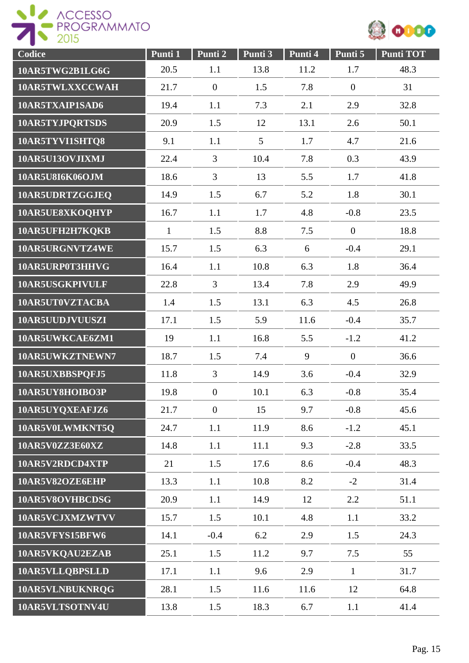



| Codice          | Punti 1      | Punti 2          | Punti 3 | Punti 4 | Punti 5          | <b>Punti TOT</b> |
|-----------------|--------------|------------------|---------|---------|------------------|------------------|
| 10AR5TWG2B1LG6G | 20.5         | 1.1              | 13.8    | 11.2    | 1.7              | 48.3             |
| 10AR5TWLXXCCWAH | 21.7         | $\mathbf{0}$     | 1.5     | 7.8     | $\overline{0}$   | 31               |
| 10AR5TXAIP1SAD6 | 19.4         | 1.1              | 7.3     | 2.1     | 2.9              | 32.8             |
| 10AR5TYJPQRTSDS | 20.9         | 1.5              | 12      | 13.1    | 2.6              | 50.1             |
| 10AR5TYVI1SHTQ8 | 9.1          | 1.1              | 5       | 1.7     | 4.7              | 21.6             |
| 10AR5U13OVJIXMJ | 22.4         | $\overline{3}$   | 10.4    | 7.8     | 0.3              | 43.9             |
| 10AR5U8I6K06OJM | 18.6         | 3                | 13      | 5.5     | 1.7              | 41.8             |
| 10AR5UDRTZGGJEQ | 14.9         | 1.5              | 6.7     | 5.2     | 1.8              | 30.1             |
| 10AR5UE8XKOQHYP | 16.7         | 1.1              | 1.7     | 4.8     | $-0.8$           | 23.5             |
| 10AR5UFH2H7KQKB | $\mathbf{1}$ | 1.5              | 8.8     | 7.5     | $\overline{0}$   | 18.8             |
| 10AR5URGNVTZ4WE | 15.7         | 1.5              | 6.3     | 6       | $-0.4$           | 29.1             |
| 10AR5URP0T3HHVG | 16.4         | 1.1              | 10.8    | 6.3     | 1.8              | 36.4             |
| 10AR5USGKPIVULF | 22.8         | $\overline{3}$   | 13.4    | 7.8     | 2.9              | 49.9             |
| 10AR5UT0VZTACBA | 1.4          | 1.5              | 13.1    | 6.3     | 4.5              | 26.8             |
| 10AR5UUDJVUUSZI | 17.1         | 1.5              | 5.9     | 11.6    | $-0.4$           | 35.7             |
| 10AR5UWKCAE6ZM1 | 19           | 1.1              | 16.8    | 5.5     | $-1.2$           | 41.2             |
| 10AR5UWKZTNEWN7 | 18.7         | 1.5              | 7.4     | 9       | $\boldsymbol{0}$ | 36.6             |
| 10AR5UXBBSPQFJ5 | 11.8         | 3                | 14.9    | 3.6     | $-0.4$           | 32.9             |
| 10AR5UY8HOIBO3P | 19.8         | $\boldsymbol{0}$ | 10.1    | 6.3     | $-0.8$           | 35.4             |
| 10AR5UYQXEAFJZ6 | 21.7         | $\overline{0}$   | 15      | 9.7     | $-0.8$           | 45.6             |
| 10AR5V0LWMKNT5O | 24.7         | 1.1              | 11.9    | 8.6     | $-1.2$           | 45.1             |
| 10AR5V0ZZ3E60XZ | 14.8         | 1.1              | 11.1    | 9.3     | $-2.8$           | 33.5             |
| 10AR5V2RDCD4XTP | 21           | 1.5              | 17.6    | 8.6     | $-0.4$           | 48.3             |
| 10AR5V82OZE6EHP | 13.3         | 1.1              | 10.8    | 8.2     | $-2$             | 31.4             |
| 10AR5V8OVHBCDSG | 20.9         | 1.1              | 14.9    | 12      | 2.2              | 51.1             |
| 10AR5VCJXMZWTVV | 15.7         | 1.5              | 10.1    | 4.8     | 1.1              | 33.2             |
| 10AR5VFYS15BFW6 | 14.1         | $-0.4$           | 6.2     | 2.9     | 1.5              | 24.3             |
| 10AR5VKQAU2EZAB | 25.1         | 1.5              | 11.2    | 9.7     | 7.5              | 55               |
| 10AR5VLLQBPSLLD | 17.1         | 1.1              | 9.6     | 2.9     | $\mathbf{1}$     | 31.7             |
| 10AR5VLNBUKNRQG | 28.1         | 1.5              | 11.6    | 11.6    | 12               | 64.8             |
| 10AR5VLTSOTNV4U | 13.8         | 1.5              | 18.3    | 6.7     | 1.1              | 41.4             |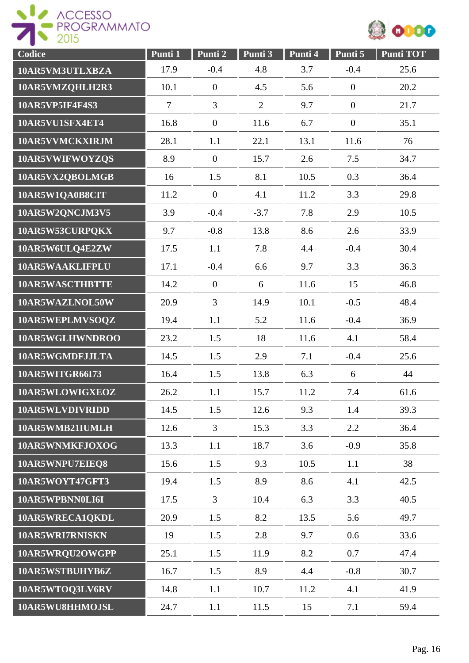



| Codice                 | Punti 1        | Punti 2        | Punti 3        | Punti 4 | Punti 5          | <b>Punti TOT</b> |
|------------------------|----------------|----------------|----------------|---------|------------------|------------------|
| 10AR5VM3UTLXBZA        | 17.9           | $-0.4$         | 4.8            | 3.7     | $-0.4$           | 25.6             |
| 10AR5VMZQHLH2R3        | 10.1           | $\mathbf{0}$   | 4.5            | 5.6     | $\mathbf{0}$     | 20.2             |
| 10AR5VP5IF4F4S3        | $\overline{7}$ | $\overline{3}$ | $\overline{2}$ | 9.7     | $\overline{0}$   | 21.7             |
| 10AR5VU1SFX4ET4        | 16.8           | $\overline{0}$ | 11.6           | 6.7     | $\boldsymbol{0}$ | 35.1             |
| 10AR5VVMCKXIRJM        | 28.1           | 1.1            | 22.1           | 13.1    | 11.6             | 76               |
| 10AR5VWIFWOYZQS        | 8.9            | $\overline{0}$ | 15.7           | 2.6     | 7.5              | 34.7             |
| 10AR5VX2QBOLMGB        | 16             | 1.5            | 8.1            | 10.5    | 0.3              | 36.4             |
| 10AR5W1QA0B8CIT        | 11.2           | $\mathbf{0}$   | 4.1            | 11.2    | 3.3              | 29.8             |
| 10AR5W2QNCJM3V5        | 3.9            | $-0.4$         | $-3.7$         | 7.8     | 2.9              | 10.5             |
| 10AR5W53CURPQKX        | 9.7            | $-0.8$         | 13.8           | 8.6     | 2.6              | 33.9             |
| 10AR5W6ULQ4E2ZW        | 17.5           | 1.1            | 7.8            | 4.4     | $-0.4$           | 30.4             |
| 10AR5WAAKLIFPLU        | 17.1           | $-0.4$         | 6.6            | 9.7     | 3.3              | 36.3             |
| 10AR5WASCTHBTTE        | 14.2           | $\mathbf{0}$   | 6              | 11.6    | 15               | 46.8             |
| 10AR5WAZLNOL50W        | 20.9           | $\overline{3}$ | 14.9           | 10.1    | $-0.5$           | 48.4             |
| 10AR5WEPLMVSOQZ        | 19.4           | 1.1            | 5.2            | 11.6    | $-0.4$           | 36.9             |
| 10AR5WGLHWNDROO        | 23.2           | 1.5            | 18             | 11.6    | 4.1              | 58.4             |
| 10AR5WGMDFJJLTA        | 14.5           | 1.5            | 2.9            | 7.1     | $-0.4$           | 25.6             |
| <b>10AR5WITGR66I73</b> | 16.4           | 1.5            | 13.8           | 6.3     | 6                | 44               |
| 10AR5WLOWIGXEOZ        | 26.2           | 1.1            | 15.7           | 11.2    | 7.4              | 61.6             |
| 10AR5WLVDIVRIDD        | 14.5           | 1.5            | 12.6           | 9.3     | 1.4              | 39.3             |
| 10AR5WMB21IUMLH        | 12.6           | $\overline{3}$ | 15.3           | 3.3     | 2.2              | 36.4             |
| 10AR5WNMKFJOXOG        | 13.3           | 1.1            | 18.7           | 3.6     | $-0.9$           | 35.8             |
| 10AR5WNPU7EIEQ8        | 15.6           | 1.5            | 9.3            | 10.5    | 1.1              | 38               |
| 10AR5WOYT47GFT3        | 19.4           | 1.5            | 8.9            | 8.6     | 4.1              | 42.5             |
| 10AR5WPBNN0LI6I        | 17.5           | $\overline{3}$ | 10.4           | 6.3     | 3.3              | 40.5             |
| 10AR5WRECA1QKDL        | 20.9           | 1.5            | 8.2            | 13.5    | 5.6              | 49.7             |
| 10AR5WRI7RNISKN        | 19             | 1.5            | 2.8            | 9.7     | 0.6              | 33.6             |
| 10AR5WRQU2OWGPP        | 25.1           | 1.5            | 11.9           | 8.2     | 0.7              | 47.4             |
| 10AR5WSTBUHYB6Z        | 16.7           | 1.5            | 8.9            | 4.4     | $-0.8$           | 30.7             |
| 10AR5WTOQ3LV6RV        | 14.8           | 1.1            | 10.7           | 11.2    | 4.1              | 41.9             |
| 10AR5WU8HHMOJSL        | 24.7           | 1.1            | 11.5           | 15      | 7.1              | 59.4             |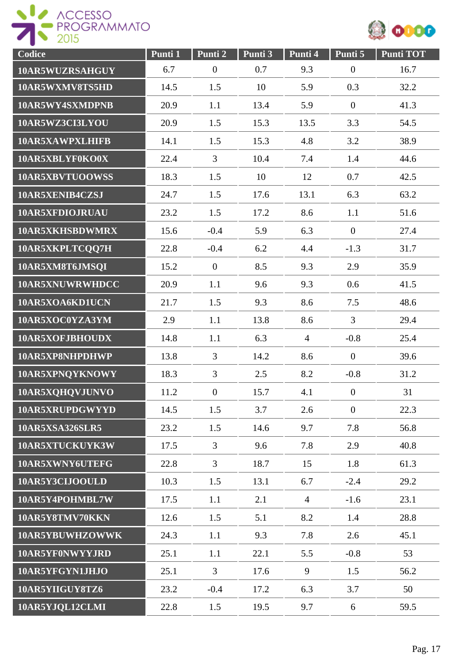



| Codice          | Punti 1 | Punti 2          | Punti 3 | Punti 4        | Punti 5          | <b>Punti TOT</b> |
|-----------------|---------|------------------|---------|----------------|------------------|------------------|
| 10AR5WUZRSAHGUY | 6.7     | $\boldsymbol{0}$ | 0.7     | 9.3            | $\boldsymbol{0}$ | 16.7             |
| 10AR5WXMV8TS5HD | 14.5    | 1.5              | 10      | 5.9            | 0.3              | 32.2             |
| 10AR5WY4SXMDPNB | 20.9    | 1.1              | 13.4    | 5.9            | $\mathbf{0}$     | 41.3             |
| 10AR5WZ3CI3LYOU | 20.9    | 1.5              | 15.3    | 13.5           | 3.3              | 54.5             |
| 10AR5XAWPXLHIFB | 14.1    | 1.5              | 15.3    | 4.8            | 3.2              | 38.9             |
| 10AR5XBLYF0KO0X | 22.4    | $\overline{3}$   | 10.4    | 7.4            | 1.4              | 44.6             |
| 10AR5XBVTUOOWSS | 18.3    | 1.5              | 10      | 12             | 0.7              | 42.5             |
| 10AR5XENIB4CZSJ | 24.7    | 1.5              | 17.6    | 13.1           | 6.3              | 63.2             |
| 10AR5XFDIOJRUAU | 23.2    | 1.5              | 17.2    | 8.6            | 1.1              | 51.6             |
| 10AR5XKHSBDWMRX | 15.6    | $-0.4$           | 5.9     | 6.3            | $\mathbf{0}$     | 27.4             |
| 10AR5XKPLTCQQ7H | 22.8    | $-0.4$           | 6.2     | 4.4            | $-1.3$           | 31.7             |
| 10AR5XM8T6JMSQI | 15.2    | $\boldsymbol{0}$ | 8.5     | 9.3            | 2.9              | 35.9             |
| 10AR5XNUWRWHDCC | 20.9    | 1.1              | 9.6     | 9.3            | 0.6              | 41.5             |
| 10AR5XOA6KD1UCN | 21.7    | 1.5              | 9.3     | 8.6            | 7.5              | 48.6             |
| 10AR5XOC0YZA3YM | 2.9     | 1.1              | 13.8    | 8.6            | $\overline{3}$   | 29.4             |
| 10AR5XOFJBHOUDX | 14.8    | 1.1              | 6.3     | $\overline{4}$ | $-0.8$           | 25.4             |
| 10AR5XP8NHPDHWP | 13.8    | 3                | 14.2    | 8.6            | $\overline{0}$   | 39.6             |
| 10AR5XPNQYKNOWY | 18.3    | $\overline{3}$   | 2.5     | 8.2            | $-0.8$           | 31.2             |
| 10AR5XQHQVJUNVO | 11.2    | $\boldsymbol{0}$ | 15.7    | 4.1            | $\overline{0}$   | 31               |
| 10AR5XRUPDGWYYD | 14.5    | 1.5              | 3.7     | 2.6            | $\mathbf{0}$     | 22.3             |
| 10AR5XSA326SLR5 | 23.2    | 1.5              | 14.6    | 9.7            | 7.8              | 56.8             |
| 10AR5XTUCKUYK3W | 17.5    | $\overline{3}$   | 9.6     | 7.8            | 2.9              | 40.8             |
| 10AR5XWNY6UTEFG | 22.8    | $\overline{3}$   | 18.7    | 15             | 1.8              | 61.3             |
| 10AR5Y3CIJOOULD | 10.3    | 1.5              | 13.1    | 6.7            | $-2.4$           | 29.2             |
| 10AR5Y4POHMBL7W | 17.5    | 1.1              | 2.1     | $\overline{4}$ | $-1.6$           | 23.1             |
| 10AR5Y8TMV70KKN | 12.6    | 1.5              | 5.1     | 8.2            | 1.4              | 28.8             |
| 10AR5YBUWHZOWWK | 24.3    | 1.1              | 9.3     | 7.8            | 2.6              | 45.1             |
| 10AR5YF0NWYYJRD | 25.1    | 1.1              | 22.1    | 5.5            | $-0.8$           | 53               |
| 10AR5YFGYN1JHJO | 25.1    | $\overline{3}$   | 17.6    | 9              | 1.5              | 56.2             |
| 10AR5YIIGUY8TZ6 | 23.2    | $-0.4$           | 17.2    | 6.3            | 3.7              | 50               |
| 10AR5YJQL12CLMI | 22.8    | 1.5              | 19.5    | 9.7            | 6                | 59.5             |